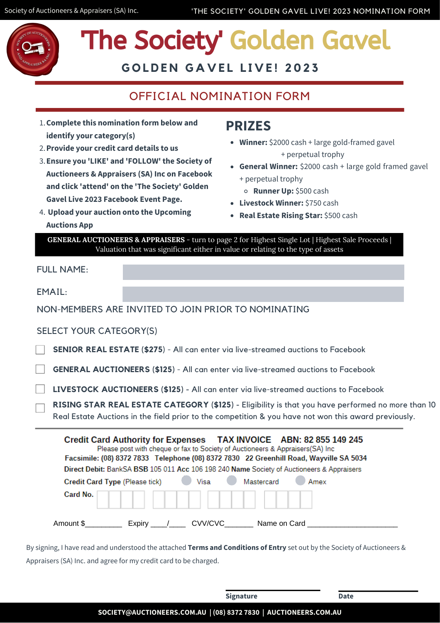

# 'The Society' Golden Gavel

**G O L D E N G A V E L L I V E ! 2 0 2 3**

## OFFICIAL NOMINATION FORM

- **Complete this nomination form below and** 1. **identify your category(s)**
- **Provide your credit card details to us** 2.
- **Ensure you 'LIKE' and 'FOLLOW' the Society of** 3. **Auctioneers & Appraisers (SA) Inc on Facebook and click 'attend' on the 'The Society' Golden Gavel Live 2023 Facebook Event Page.**
- **Upload your auction onto the Upcoming** 4. **Auctions App**

#### **PRIZES**

- **Winner:** \$2000 cash + large gold-framed gavel + perpetual trophy
- **General Winner:** \$2000 cash + large gold framed gavel + perpetual trophy
	- **Runner Up:** \$500 cash
- **Livestock Winner:** \$750 cash
- **Real Estate Rising Star:** \$500 cash

**GENERAL AUCTIONEERS & APPRAISERS** - turn to page 2 for Highest Single Lot | Highest Sale Proceeds | Valuation that was significant either in value or relating to the type of assets

| <b>FULL NAME:</b>              |                                                                                                                                                                                                                                                |
|--------------------------------|------------------------------------------------------------------------------------------------------------------------------------------------------------------------------------------------------------------------------------------------|
| EMAIL:                         |                                                                                                                                                                                                                                                |
|                                | NON-MEMBERS ARE INVITED TO JOIN PRIOR TO NOMINATING                                                                                                                                                                                            |
| <b>SELECT YOUR CATEGORY(S)</b> |                                                                                                                                                                                                                                                |
|                                | <b>SENIOR REAL ESTATE (\$275) - All can enter via live-streamed auctions to Facebook</b>                                                                                                                                                       |
|                                | <b>GENERAL AUCTIONEERS (\$125) - All can enter via live-streamed auctions to Facebook</b>                                                                                                                                                      |
|                                | LIVESTOCK AUCTIONEERS (\$125) - All can enter via live-streamed auctions to Facebook                                                                                                                                                           |
|                                | RISING STAR REAL ESTATE CATEGORY (\$125) - Eligibility is that you have performed no more than 10<br>Real Estate Auctions in the field prior to the competition & you have not won this award previously.                                      |
|                                | Credit Card Authority for Expenses TAX INVOICE ABN: 82 855 149 245<br>Please post with cheque or fax to Society of Auctioneers & Appraisers(SA) Inc.<br>Facsimile: (08) 8372 7833 Telephone (08) 8372 7830 22 Greenhill Road, Wayville SA 5034 |
|                                | Direct Debit: BankSA BSB 105 011 Acc 106 198 240 Name Society of Auctioneers & Appraisers                                                                                                                                                      |

| Credit Card Type (Please tick) |        | Visa    | Mastercard   | Amex |
|--------------------------------|--------|---------|--------------|------|
| Card No.                       |        |         |              |      |
| Amount \$                      | Expiry | CVV/CVC | Name on Card |      |

By signing, I have read and understood the attached **Terms and Conditions of Entry** set out by the Society of Auctioneers & Appraisers (SA) Inc. and agree for my credit card to be charged.

|                                                                  | <b>Signature</b> | <b>Date</b> |  |
|------------------------------------------------------------------|------------------|-------------|--|
| SOCIETY@AUCTIONEERS.COM.AU   (08) 8372 7830   AUCTIONEERS.COM.AU |                  |             |  |